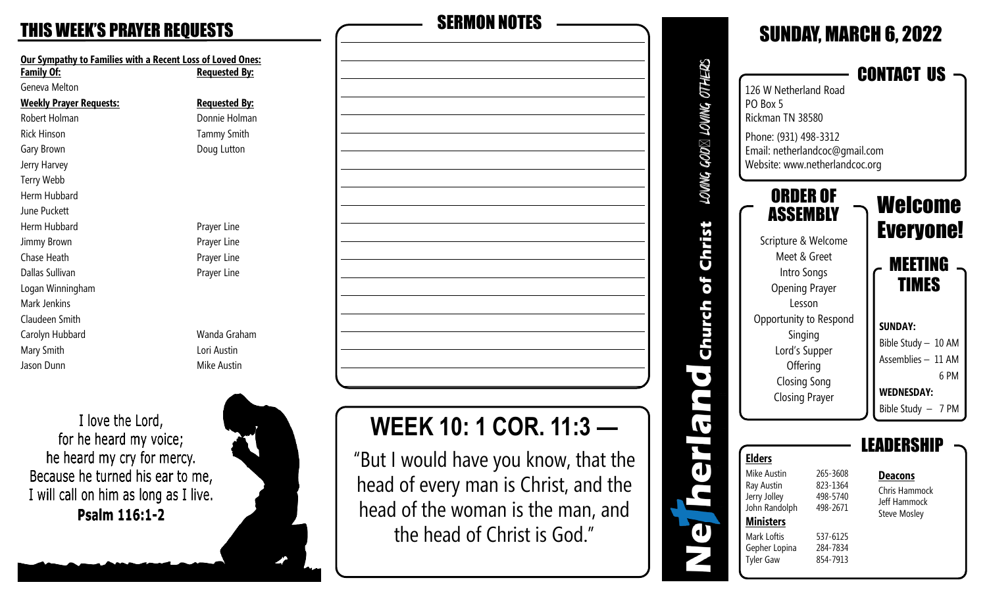| <b>Our Sympathy to Families with a Recent Loss of Loved Ones:</b> |                      |  |  |  |
|-------------------------------------------------------------------|----------------------|--|--|--|
| <b>Family Of:</b>                                                 | <b>Requested By:</b> |  |  |  |
| Geneva Melton                                                     |                      |  |  |  |
| <b>Weekly Prayer Requests:</b>                                    | <u>Requested By:</u> |  |  |  |
| Robert Holman                                                     | Donnie Holman        |  |  |  |
| <b>Rick Hinson</b>                                                | <b>Tammy Smith</b>   |  |  |  |
| Gary Brown                                                        | Doug Lutton          |  |  |  |
| Jerry Harvey                                                      |                      |  |  |  |
| Terry Webb                                                        |                      |  |  |  |
| Herm Hubbard                                                      |                      |  |  |  |
| June Puckett                                                      |                      |  |  |  |
| Herm Hubbard                                                      | Prayer Line          |  |  |  |
| <b>Jimmy Brown</b>                                                | Prayer Line          |  |  |  |
| Chase Heath                                                       | Prayer Line          |  |  |  |
| Dallas Sullivan                                                   | Prayer Line          |  |  |  |
| Logan Winningham                                                  |                      |  |  |  |
| Mark Jenkins                                                      |                      |  |  |  |
| Claudeen Smith                                                    |                      |  |  |  |
| Carolyn Hubbard                                                   | Wanda Graham         |  |  |  |
| Mary Smith                                                        | Lori Austin          |  |  |  |
| Jason Dunn                                                        | Mike Austin          |  |  |  |

I love the Lord, for he heard my voice; he heard my cry for mercy. Because he turned his ear to me, I will call on him as long as I live. Psalm 116:1-2





# **WEEK 10: 1 COR. 11:3 —**

"But I would have you know, that the head of every man is Christ, and the head of the woman is the man, and the head of Christ is God."

#### SUNDAY, MARCH 6, 2022 LOVING GOD⊠ LOVING OTHERS CONTACT US 126 W Netherland Road PO Box 5 Rickman TN 38580 Phone: (931) 498 -3312 Email: netherlandcoc@gmail.com Website: www.netherlandcoc.org ORDER OF Welcome ASSEMBLY Christ Everyone! Scripture & Welcome Meet & Greet MEETING Intro Songs of TIMES Opening Prayer Lesson Church Opportunity to Respond **SUNDAY:** Singing Bible Study – 10 AM Lord's Supper Assemblies – 11 AM **Offering**  $\bullet$  6 PM Closing Song **WEDNESDAY:** n Closing Prayer Bible Study – 7 PM  $\overline{\mathbf{v}}$ LEADERSHIP t<br>d **Elders** Mike Austin 265-3608 **Deacons Ray Austin** 823-1364 Chris Hammock 498-5740 Jerry Jolley Jeff Hammock John Randolph 498-2671 Steve Mosley **Ministers** T Mark Loftis 537-6125 Gepher Lopina 284-7834 854-7913 **Tyler Gaw**